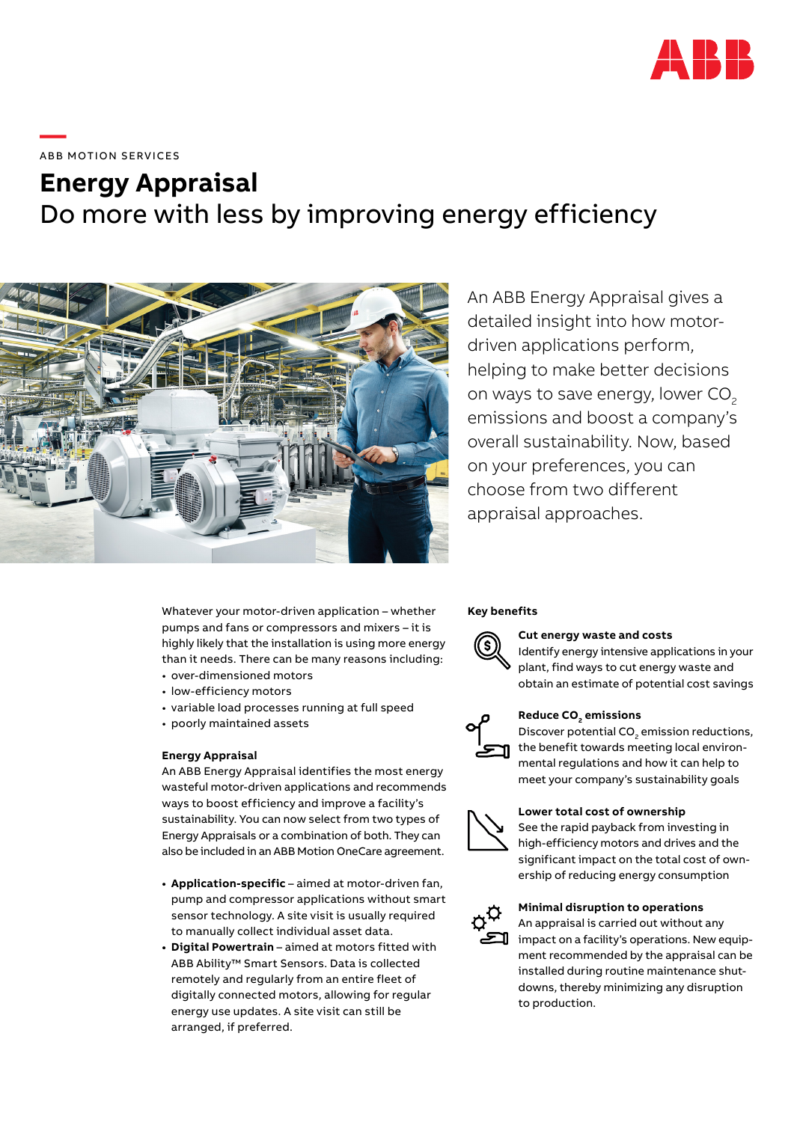

**—**  ABB MOTION SERVICES

# **Energy Appraisal** Do more with less by improving energy efficiency



An ABB Energy Appraisal gives a detailed insight into how motordriven applications perform, helping to make better decisions on ways to save energy, lower CO<sub>2</sub> emissions and boost a company's overall sustainability. Now, based on your preferences, you can choose from two different appraisal approaches.

Whatever your motor-driven application – whether pumps and fans or compressors and mixers – it is highly likely that the installation is using more energy than it needs. There can be many reasons including: • over-dimensioned motors

- low-efficiency motors
- variable load processes running at full speed
- poorly maintained assets

#### **Energy Appraisal**

An ABB Energy Appraisal identifies the most energy wasteful motor-driven applications and recommends ways to boost efficiency and improve a facility's sustainability. You can now select from two types of Energy Appraisals or a combination of both. They can also be included in an ABB Motion OneCare agreement.

- **• Application-specific** aimed at motor-driven fan, pump and compressor applications without smart sensor technology. A site visit is usually required to manually collect individual asset data.
- **• Digital Powertrain** aimed at motors fitted with ABB Ability™ Smart Sensors. Data is collected remotely and regularly from an entire fleet of digitally connected motors, allowing for regular energy use updates. A site visit can still be arranged, if preferred.

#### **Key benefits**



#### **Cut energy waste and costs**

Identify energy intensive applications in your plant, find ways to cut energy waste and obtain an estimate of potential cost savings



### Reduce CO<sub>2</sub> emissions

Discover potential  $CO<sub>2</sub>$  emission reductions, the benefit towards meeting local environmental regulations and how it can help to meet your company's sustainability goals

#### **Lower total cost of ownership**



See the rapid payback from investing in high-efficiency motors and drives and the significant impact on the total cost of ownership of reducing energy consumption



#### **Minimal disruption to operations**

An appraisal is carried out without any impact on a facility's operations. New equipment recommended by the appraisal can be installed during routine maintenance shutdowns, thereby minimizing any disruption to production.